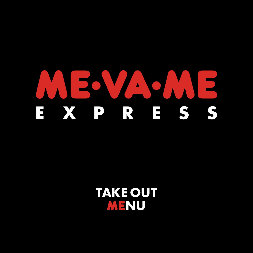## $\blacktriangle$ X P R E S S  $\mathbf{H}$

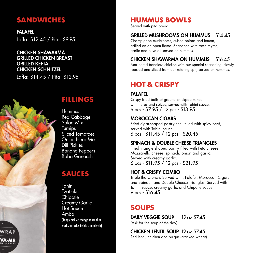## **SANDWICHES**

FALAFEL Laffa: \$12.45 / Pita: \$9.95

#### CHICKEN SHAWARMA GRILLED CHICKEN BREAST GRILLED KEFTA CHICKEN SCHNITZEL

Laffa: \$14.45 / Pita: \$12.95



## **FILLINGS**

Hummus Red Cabbage Salad Mix Turnips Sliced Tomatoes Onion Herb Mix Dill Pickles Banana Peppers Baba Ganoush

## **SAUCES**

Tahini Tzatziki **Chipotle** Creamy Garlic Hot Sauce Amba (Tangy pickled mango sauce that works miracles inside a sandwich)

## **HUMMUS BOWLS**

Served with pita bread.

## GRILLED MUSHROOMS ON HUMMUS \$14.45

Champignon mushrooms, cubed onions and lemon, grilled on an open flame. Seasoned with fresh thyme, garlic and olive oil served on hummus.

## CHICKEN SHAWARMA ON HUMMUS \$16.45

Marinated boneless chicken with our special seasoning, slowly roasted and sliced from our rotating spit, served on hummus.

## **HOT & CRISPY**

## FALAFEL

Crispy fried balls of ground chickpea mixed with herbs and spices, served with Tahini sauce. 6 pcs - \$7.95 / 12 pcs - \$13.95

## MOROCCAN CIGARS

Fried cigar-shaped pastry shell filled with spicy beef, served with Tahini sauce. 6 pcs - \$11.45 / 12 pcs - \$20.45

## SPINACH & DOUBLE CHEESE TRIANGLES

Fried triangle shaped pastry filled with Feta cheese, Mozzarella cheese, spinach, onion and garlic. Served with creamy garlic. 6 pcs - \$11.95 / 12 pcs - \$21.95

## HOT & CRISPY COMBO

Triple the Crunch. Served with: Falafel, Moroccan Cigars and Spinach and Double Cheese Triangles. Served with Tahini sauce, creamy garlic and Chipotle sauce. 9 pcs - \$16.45

## **SOUPS**

DAILY VEGGIE SOUP 12 oz \$7.45 (Ask for the soup of the day)

CHICKEN LENTIL SOUP 12 oz \$7.45 Red lentil, chicken and bulgur (cracked wheat).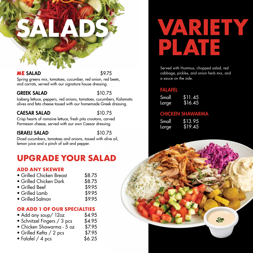## ALAD \$9.75

Spring greens mix, tomatoes, cucumber, red onion, red beets, and carrots, served with our signature house dressing.

#### GREEK SALAD \$10.75

Iceberg lettuce, peppers, red onions, tomatoes, cucumbers, Kalamata olives and feta cheese tossed with our homemade Greek dressing.

#### CAESAR SALAD \$10.75

Crisp hearts of romaine lettuce, fresh pita croutons, carved Parmesan cheese, served with our own Caesar dressing.

#### ISRAELI SALAD \$10.75

Diced cucumbers, tomatoes and onions, tossed with olive oil, lemon juice and a pinch of salt and pepper.

## **UPGRADE YOUR SALAD**

#### **ADD ANY SKEWER**

| • Grilled Chicken Breast | \$8.75 |
|--------------------------|--------|
| • Grilled Chicken Dark   | \$8.75 |
| • Grilled Beef           | \$9.95 |
| • Grilled Lamb           | \$9.95 |
|                          |        |

• Grilled Salmon \$9.95

## **OR ADD 1 OF OUR SPECIALTIES**

- Add any soup/ 12oz
- Schnitzel Fingers / 3 pcs \$4.95
- Chicken Shawarma 5 oz \$7.95
- Grilled Kefta / 2 pcs \$7.95<br>• Falafel / 4 pcs \$6.25
- Falafel  $/$  4 pcs

## **SALADS VARIETY PLATE**

Served with Hummus, chopped salad, red cabbage, pickles, and onion herb mix, and a sauce on the side.

#### FALAFEL

Small \$11.45 Large \$16.45

#### CHICKEN SHAWARMA

| Small | \$13.95 |
|-------|---------|
| Large | \$19.45 |

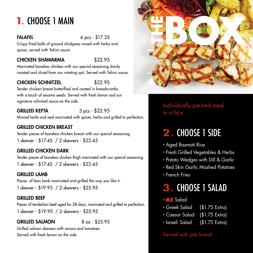## 1. CHOOSE 1 MAIN

FALAFEL 6 pcs - \$17.25

Crispy fried balls of ground chickpeas mixed with herbs and spices, served with Tahini sauce.

## CHICKEN SHAWARMA \$22.95

Marinated boneless chicken with our special seasoning slowly roasted and sliced from our rotating spit. Served with Tahini sauce.

## CHICKEN SCHNITZEL \$22.95

Tender chicken breast butterflied and coated in breadcrumbs with a touch of sesame seeds. Served with fresh lemon and our signature schnitzel sauce on the side.

## GRILLED KEFTA 3 pcs - \$22.95

Minced lamb and veal marinated with spices, herbs and grilled to perfection.

## GRILLED CHICKEN BREAST

Tender pieces of boneless chicken breast with our special seasoning. 1 skewer - \$17.45 / 2 skewers - \$23.45

### GRILLED CHICKEN DARK

Tender pieces of boneless chicken thigh marinated with our special seasoning. 1 skewer - \$17.45 / 2 skewers - \$23.45

### **GRILLED LAMB**

Pieces of lean lamb marinated and grilled the way you like it. 1 skewer - \$19.95 / 2 skewers - \$25.95

### GRILLED BEEF

Pieces of tenderloin beef aged for 28 days, marinated and grilled to perfection. 1 skewer - \$19.95 / 2 skewers - \$25.95

## GRILLED SALMON  $8.07 - $25.95$

Grilled salmon skewers with onions and tomatoes. Served with fresh lemon on the side.



Individually packed meal in a box.

## 2 . CHOOSE 1 SIDE

- Aged Basmati Rice
- Fresh Grilled Vegetables & Herbs
- Potato Wedges with Dill & Garlic
- Red Skin Garlic Mashed Potatoes
- French Fries

## 3. CHOOSE 1 SALAD

- $\cdot$  ME Salad
- Greek Salad (\$1.75 Extra)
- Caesar Salad (\$1.75 Extra)
- Israeli Salad (\$1.75 Extra)

Served with pita bread.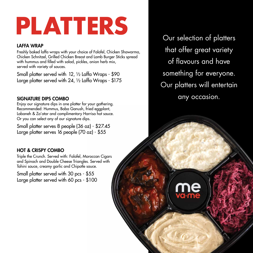# **PLATTERS**

#### LAFFA WRAP

Freshly baked laffa wraps with your choice of Falafel, Chicken Shawarma, Chicken Schnitzel, Grilled Chicken Breast and Lamb Burger Sticks spread with hummus and filled with salad, pickles, onion herb mix, served with variety of sauces.

Small platter served with 12, ½ Laffa Wraps - \$90 Large platter served with 24, ½ Laffa Wraps - \$175

#### SIGNATURE DIPS COMBO

Enjoy our signature dips in one platter for your gathering. Recommended: Hummus, Baba Ganush, fried eggplant, Labaneh & Za'atar and complimentary Harrisa hot sauce. Or you can select any of our signature dips.

Small platter serves 8 people (36 oz) - \$27.45 Large platter serves 16 people (70 oz) - \$55

### HOT & CRISPY COMBO

Triple the Crunch. Served with: Falafel, Moroccan Cigars and Spinach and Double Cheese Triangles. Served with Tahini sauce, creamy garlic and Chipotle sauce.

Small platter served with 30 pcs - \$55 Large platter served with 60 pcs - \$100

Our selection of platters that offer great variety of flavours and have something for everyone. Our platters will entertain any occasion.

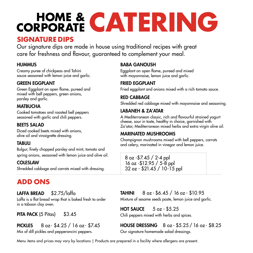# **CORPORATE HOME & CATERING**

## **SIGNATURE DIPS**

Our signature dips are made in house using traditional recipes with great care for freshness and flavour, guaranteed to complement your meal.

## **HUMMUS**

Creamy puree of chickpeas and Tahini sauce seasoned with lemon juice and garlic.

## GREEN EGGPLANT

Green Eggplant on open flame, pureed and mixed with bell peppers, green onions, parsley and garlic.

## **MATBUCHA**

Cooked tomatoes and roasted bell peppers seasoned with garlic and chili peppers.

## **BEETS SALAD**

Diced cooked beets mixed with onions, olive oil and vinaigrette dressing.

## TABULI

Bulgur, finely chopped parsley and mint, tomato and spring onions, seasoned with lemon juice and olive oil.

## COLESLAW

Shredded cabbage and carrots mixed with dressing.

## **ADD ONS**

## LAFFA BREAD \$2.75/laffa

Laffa is a flat bread wrap that is baked fresh to order in a taboon clay oven.

PITA PACK (5 Pitas) \$3.45

## PICKLES 8 oz - \$4.25 / 16 oz - \$7.45

Mix of dill pickles and pepperoncini peppers.

## BABA GANOUSH

Eggplant on open flame, pureed and mixed with mayonnaise, lemon juice and garlic.

## FRIED EGGPLANT

Fried eggplant and onions mixed with a rich tomato sauce.

## RED CABBAGE

Shredded red cabbage mixed with mayonnaise and seasoning.

## LABANEH & ZA'ATAR

A Mediterranean classic, rich and flavourful strained yogurt cheese, sour in taste, healthy in choice, garnished with Za'atar, Mediterranean mixed herbs and extra virgin olive oil.

## MARINATED MUSHROOMS

Champignon mushrooms mixed with bell peppers, carrots and celery, marinated in vinegar and lemon juice.

| $8$ oz - \$7.45 / 2-4 ppl     |
|-------------------------------|
| $16$ oz -\$12.95 / 5-8 ppl    |
| $32$ oz - \$21.45 / 10-15 ppl |

## TAHINI 8 oz - \$6.45 / 16 oz - \$10.95

Mixture of sesame seeds paste, lemon juice and garlic.

## HOT SAUCE  $5$  oz  $-$  \$5.25

Chili peppers mixed with herbs and spices.

#### HOUSE DRESSING 8 oz - \$5.25 / 16 oz- \$8.25 Our signature homemade salad dressings.

Menu items and prices may vary by locations | Products are prepared in a facility where allergens are present.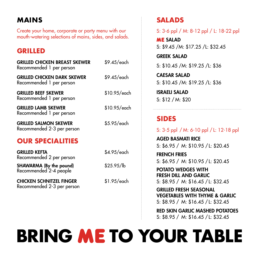## **MAINS**

Create your home, corporate or party menu with our mouth-watering selections of mains, sides, and salads.

## **GRILLED**

| <b>GRILLED CHICKEN BREAST SKEWER</b><br>Recommended 1 per person | \$9.45/each  |
|------------------------------------------------------------------|--------------|
| GRILLED CHICKEN DARK SKEWER<br>Recommended 1 per person          | \$9.45/each  |
| <b>GRILLED BEEF SKEWER</b><br>Recommended 1 per person           | \$10.95/each |
| GRILLED LAMB SKEWER<br>Recommended 1 per person                  | \$10.95/each |
| <b>GRILLED SALMON SKEWER</b><br>Recommended 2-3 per person       | \$5.95/each  |
| <b>OUR SPECIALITIES</b>                                          |              |
| Grilled Kefta<br>Recommended 2 per person                        | \$4.95/each  |
| SHAWARMA (By the pound)<br>Recommended 2-4 people                | \$25.95/lb   |
| <b>CHICKEN SCHNITZEL FINGER</b><br>Recommended 2-3 per person    | \$1.95/each  |

## **SALADS**

S: 3-6 ppl / M: 8-12 ppl / L: 18-22 ppl

**ME SALAD** S: \$9.45 /M: \$17.25 /L: \$32.45

GREEK SALAD S: \$10.45 /M: \$19.25 /L: \$36

CAESAR SALAD S: \$10.45 /M: \$19.25 /L: \$36

ISRAELI SALAD S: \$12 / M: \$20

## **SIDES**

S: 3-5 ppl / M: 6-10 ppl / L: 12-18 ppl

AGED BASMATI RICE S: \$6.95 / M: \$10.95 / L: \$20.45

FRENCH FRIES S: \$6.95 / M: \$10.95 / L: \$20.45

POTATO WEDGES WITH FRESH DILL AND GARLIC S: \$8.95 / M: \$16.45 / L: \$32.45

GRILLED FRESH SEASONAL VEGETABLES WITH THYME & GARLIC S: \$8.95 / M: \$16.45 / L: \$32.45

RED SKIN GARLIC MASHED POTATOES S: \$8.95 / M: \$16.45 / L: \$32.45

## **BRING ME TO YOUR TABLE**